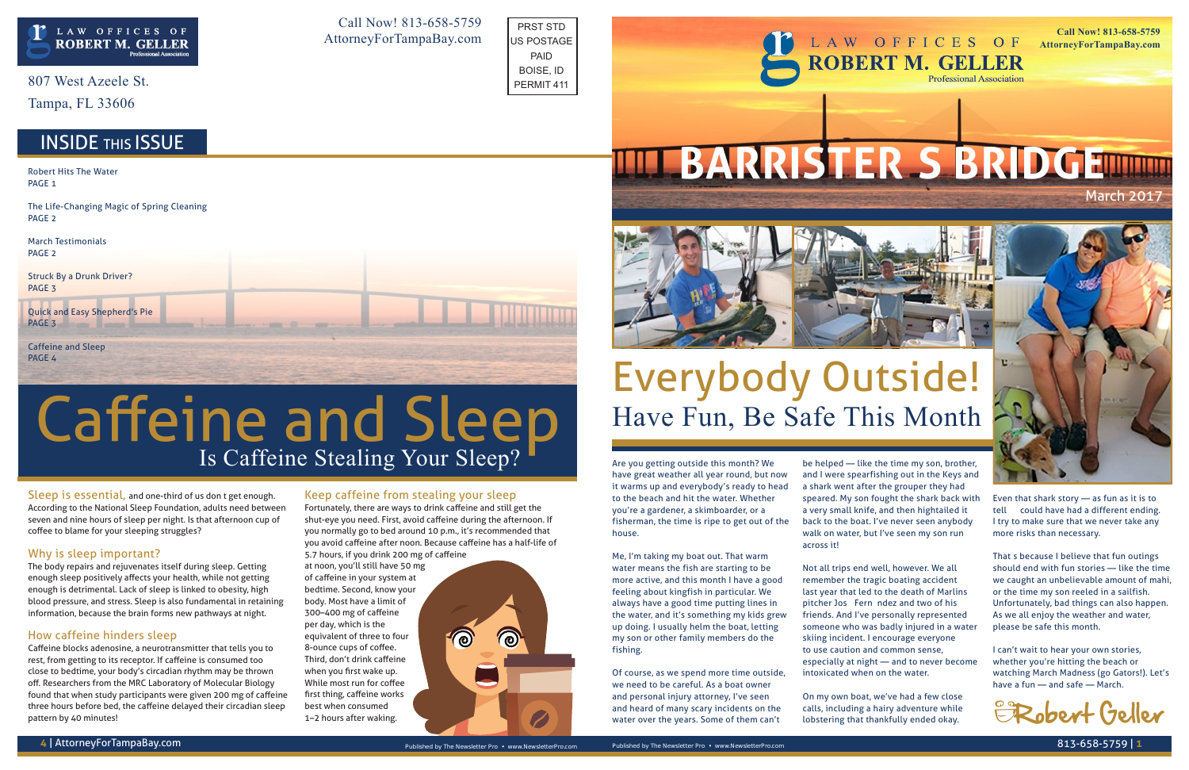Sleep is essential, and one-third of us don't get enough. According to the National Sleep Foundation, adults need between seven and nine hours of sleep per night. Is that afternoon cup of coffee to blame for your sleeping struggles?

#### Why is sleep important?

The body repairs and rejuvenates itself during sleep. Getting enough sleep positively affects your health, while not getting enough is detrimental. Lack of sleep is linked to obesity, high blood pressure, and stress. Sleep is also fundamental in retaining information, because the brain forms new pathways at night.

#### How caffeine hinders sleep

Caffeine blocks adenosine, a neurotransmitter that tells you to rest, from getting to its receptor. If caffeine is consumed too close to bedtime, your body's circadian rhythm may be thrown off. Researchers from the MRC Laboratory of Molecular Biology found that when study participants were given 200 mg of caffeine three hours before bed, the caffeine delayed their circadian sleep pattern by 40 minutes!

#### Keep caffeine from stealing your sleep

Fortunately, there are ways to drink caffeine and still get the shut-eye you need. First, avoid caffeine during the afternoon. If you normally go to bed around 10 p.m., it's recommended that you avoid caffeine after noon. Because caffeine has a half-life of

5.7 hours, if you drink 200 mg of caffeine at noon, you'll still have 50 mg of caffeine in your system at bedtime. Second, know your body. Most have a limit of 300–400 mg of caffeine per day, which is the equivalent of three to four 8-ounce cups of coffee. Third, don't drink caffeine when you first wake up. While most run for coffee first thing, caffeine works best when consumed 1–2 hours after waking.



807 West Azeele St.

Tampa, FL 33606

## **INSIDE THIS ISSUE**

# Is Caffeine Stealing Your Sleep? Caffeine and Sleep

Are you getting outside this month? We have great weather all year round, but now it warms up and everybody's ready to head to the beach and hit the water. Whether you're a gardener, a skimboarder, or a fisherman, the time is ripe to get out of the house.

Robert Hits The Water PAGE<sub>1</sub>

Quick and Easy Shepherd's Pie PAGE<sub>3</sub>

Caffeine and Sleep PAGE<sub>4</sub>

LAW OFFICES OF **ROBERT M. GELLER Professional Association** 

## March 2017 **TIL BARRISTER'S BRIDGEITHER**





Me, I'm taking my boat out. That warm water means the fish are starting to be more active, and this month I have a good feeling about kingfish in particular. We always have a good time putting lines in the water, and it's something my kids grew up doing. I usually helm the boat, letting my son or other family members do the fishing.

Of course, as we spend more time outside, we need to be careful. As a boat owner and personal injury attorney, I've seen and heard of many scary incidents on the water over the years. Some of them can't

be helped — like the time my son, brother, and I were spearfishing out in the Keys and a shark went after the grouper they had speared. My son fought the shark back with a very small knife, and then hightailed it back to the boat. I've never seen anybody walk on water, but I've seen my son run across it!

Not all trips end well, however. We all remember the tragic boating accident last year that led to the death of Marlins pitcher José Fernández and two of his friends. And I've personally represented someone who was badly injured in a water skiing incident. I encourage everyone to use caution and common sense, especially at night — and to never become intoxicated when on the water.

On my own boat, we've had a few close calls, including a hairy adventure while lobstering that thankfully ended okay.

Even that shark story — as fun as it is to tell — could have had a different ending. I try to make sure that we never take any more risks than necessary.

That's because I believe that fun outings should end with fun stories — like the time we caught an unbelievable amount of mahi, or the time my son reeled in a sailfish. Unfortunately, bad things can also happen. As we all enjoy the weather and water, please be safe this month.

I can't wait to hear your own stories, whether you're hitting the beach or watching March Madness (go Gators!). Let's have a fun — and safe — March.

The Life-Changing Magic of Spring Cleaning PAGE 2

March Testimonials PAGE 2

Struck By a Drunk Driver? PAGE 3

Call Now! 813-658-5759 AttorneyForTampaBay.com

**Call Now! 813-658-5759 AttorneyForTampaBay.com**



## Everybody Outside! Have Fun, Be Safe This Month



PRST STD US POSTAGE PAID BOISE, ID PERMIT 411